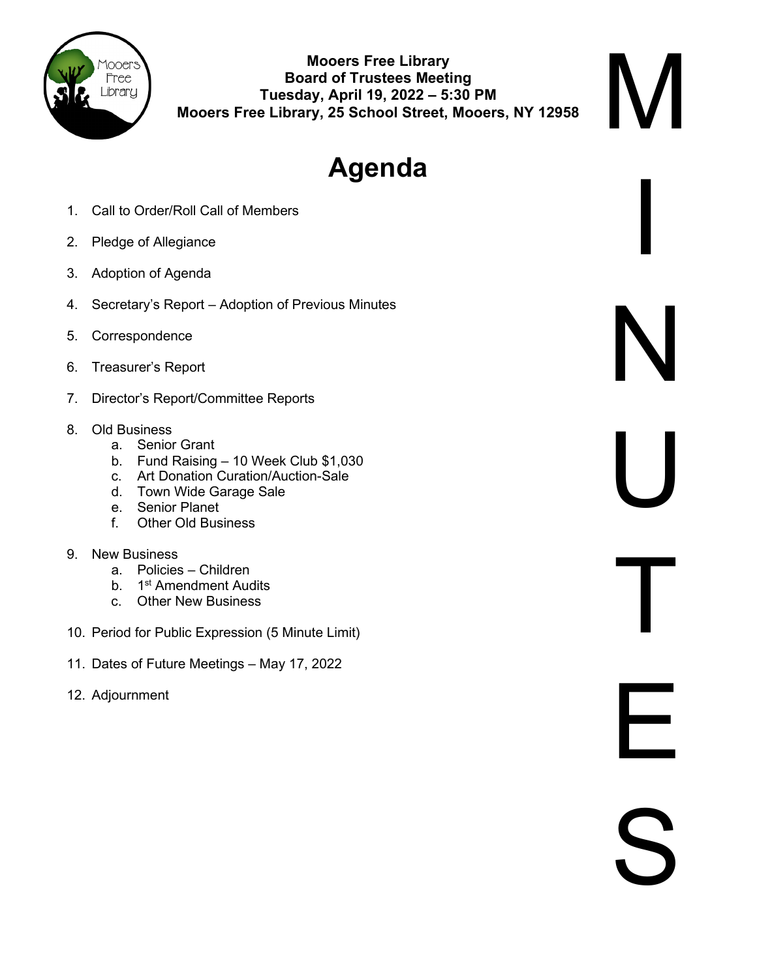

**Mooers Free Library Board of Trustees Meeting Tuesday, April 19, 2022 – 5:30 PM Mooers Free Library, 25 School Street, Mooers, NY 12958** M

I

N

U

T

E

S

# **Agenda**

- 1. Call to Order/Roll Call of Members
- 2. Pledge of Allegiance
- 3. Adoption of Agenda
- 4. Secretary's Report Adoption of Previous Minutes
- 5. Correspondence
- 6. Treasurer's Report
- 7. Director's Report/Committee Reports
- 8. Old Business
	- a. Senior Grant
	- b. Fund Raising 10 Week Club \$1,030
	- c. Art Donation Curation/Auction-Sale
	- d. Town Wide Garage Sale
	- e. Senior Planet
	- f. Other Old Business
- 9. New Business
	- a. Policies Children
	- b. 1<sup>st</sup> Amendment Audits
	- c. Other New Business
- 10. Period for Public Expression (5 Minute Limit)
- 11. Dates of Future Meetings May 17, 2022
- 12. Adjournment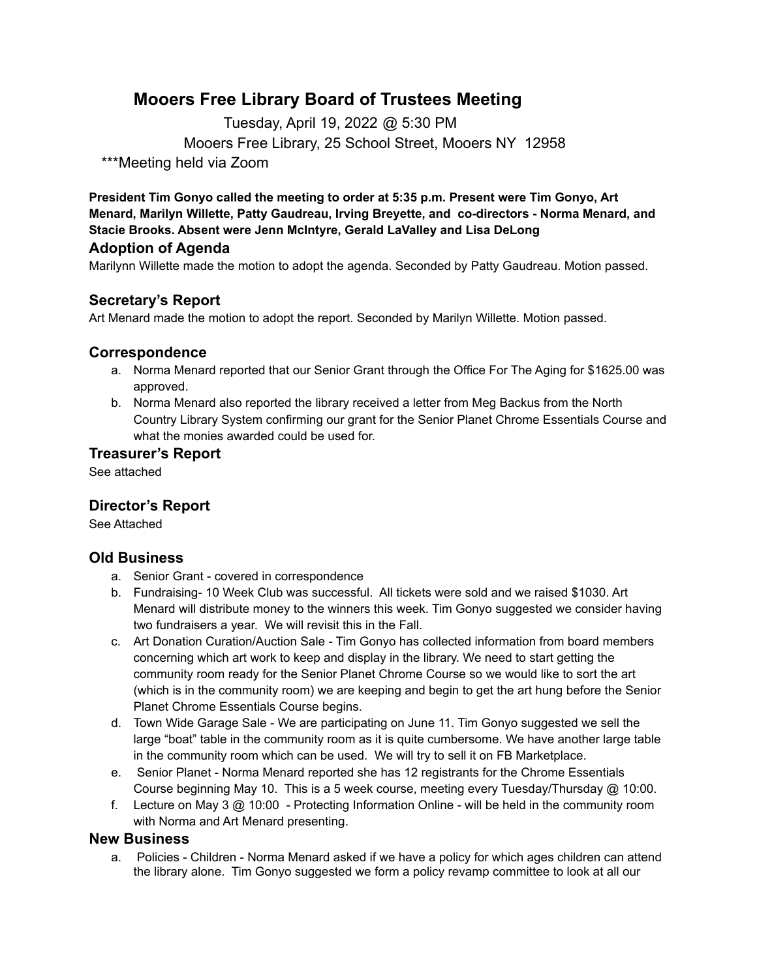## **Mooers Free Library Board of Trustees Meeting**

Tuesday, April 19, 2022 @ 5:30 PM Mooers Free Library, 25 School Street, Mooers NY 12958 \*\*\*Meeting held via Zoom

**President Tim Gonyo called the meeting to order at 5:35 p.m. Present were Tim Gonyo, Art Menard, Marilyn Willette, Patty Gaudreau, Irving Breyette, and co-directors - Norma Menard, and Stacie Brooks. Absent were Jenn McIntyre, Gerald LaValley and Lisa DeLong**

## **Adoption of Agenda**

Marilynn Willette made the motion to adopt the agenda. Seconded by Patty Gaudreau. Motion passed.

## **Secretary's Report**

Art Menard made the motion to adopt the report. Seconded by Marilyn Willette. Motion passed.

#### **Correspondence**

- a. Norma Menard reported that our Senior Grant through the Office For The Aging for \$1625.00 was approved.
- b. Norma Menard also reported the library received a letter from Meg Backus from the North Country Library System confirming our grant for the Senior Planet Chrome Essentials Course and what the monies awarded could be used for.

#### **Treasurer's Report**

See attached

### **Director's Report**

See Attached

#### **Old Business**

- a. Senior Grant covered in correspondence
- b. Fundraising- 10 Week Club was successful. All tickets were sold and we raised \$1030. Art Menard will distribute money to the winners this week. Tim Gonyo suggested we consider having two fundraisers a year. We will revisit this in the Fall.
- c. Art Donation Curation/Auction Sale Tim Gonyo has collected information from board members concerning which art work to keep and display in the library. We need to start getting the community room ready for the Senior Planet Chrome Course so we would like to sort the art (which is in the community room) we are keeping and begin to get the art hung before the Senior Planet Chrome Essentials Course begins.
- d. Town Wide Garage Sale We are participating on June 11. Tim Gonyo suggested we sell the large "boat" table in the community room as it is quite cumbersome. We have another large table in the community room which can be used. We will try to sell it on FB Marketplace.
- e. Senior Planet Norma Menard reported she has 12 registrants for the Chrome Essentials Course beginning May 10. This is a 5 week course, meeting every Tuesday/Thursday @ 10:00.
- f. Lecture on May 3 @ 10:00 Protecting Information Online will be held in the community room with Norma and Art Menard presenting.

#### **New Business**

a. Policies - Children - Norma Menard asked if we have a policy for which ages children can attend the library alone. Tim Gonyo suggested we form a policy revamp committee to look at all our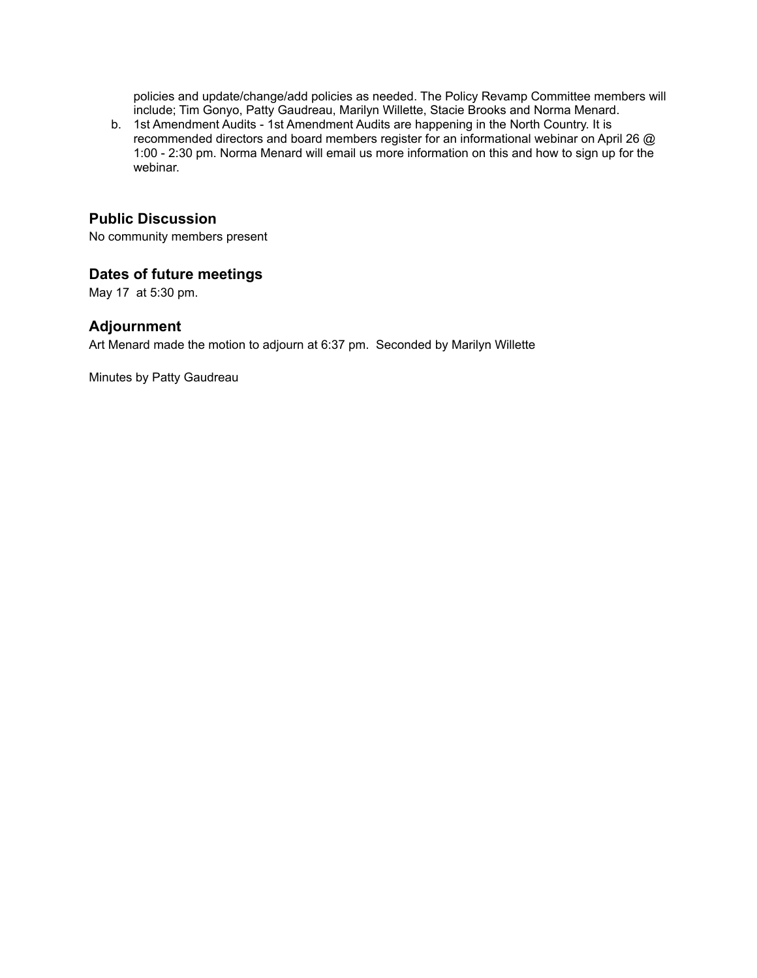policies and update/change/add policies as needed. The Policy Revamp Committee members will include; Tim Gonyo, Patty Gaudreau, Marilyn Willette, Stacie Brooks and Norma Menard.

b. 1st Amendment Audits - 1st Amendment Audits are happening in the North Country. It is recommended directors and board members register for an informational webinar on April 26 @ 1:00 - 2:30 pm. Norma Menard will email us more information on this and how to sign up for the webinar.

## **Public Discussion**

No community members present

#### **Dates of future meetings**

May 17 at 5:30 pm.

#### **Adjournment**

Art Menard made the motion to adjourn at 6:37 pm. Seconded by Marilyn Willette

Minutes by Patty Gaudreau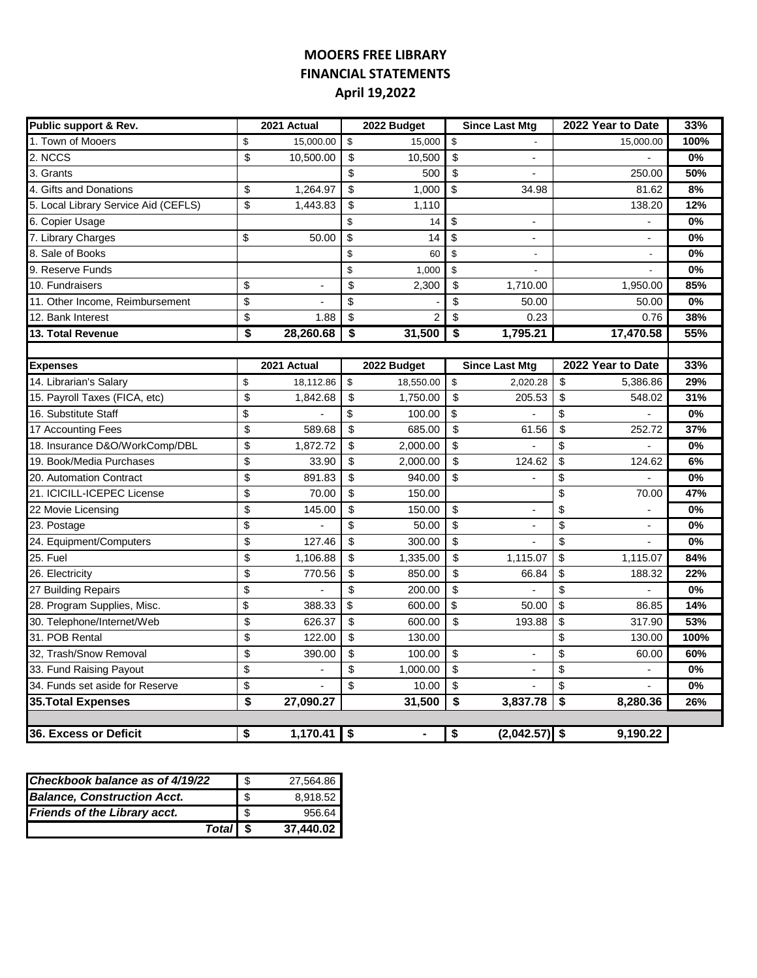## **MOOERS FREE LIBRARY FINANCIAL STATEMENTS April 19,2022**

| Public support & Rev.                | 2021 Actual     | 2022 Budget          |                         | <b>Since Last Mtg</b>    | 2022 Year to Date              | 33%   |
|--------------------------------------|-----------------|----------------------|-------------------------|--------------------------|--------------------------------|-------|
| 1. Town of Mooers                    | \$<br>15,000.00 | \$<br>15,000         | \$                      |                          | 15,000.00                      | 100%  |
| 2. NCCS                              | \$<br>10,500.00 | \$<br>10,500         | \$                      |                          |                                | 0%    |
| 3. Grants                            |                 | \$<br>500            | \$                      |                          | 250.00                         | 50%   |
| 4. Gifts and Donations               | \$<br>1,264.97  | \$<br>1,000          | \$                      | 34.98                    | 81.62                          | 8%    |
| 5. Local Library Service Aid (CEFLS) | \$<br>1,443.83  | \$<br>1,110          |                         |                          | 138.20                         | 12%   |
| 6. Copier Usage                      |                 | \$<br>14             | \$                      | $\overline{\phantom{a}}$ |                                | $0\%$ |
| 7. Library Charges                   | \$<br>50.00     | \$<br>14             | \$                      | $\overline{\phantom{a}}$ | $\overline{\phantom{a}}$       | 0%    |
| 8. Sale of Books                     |                 | \$<br>60             | \$                      | $\overline{\phantom{a}}$ | $\overline{\phantom{a}}$       | 0%    |
| 9. Reserve Funds                     |                 | \$<br>1,000          | \$                      |                          | $\overline{a}$                 | 0%    |
| 10. Fundraisers                      | \$              | \$<br>2,300          | \$                      | 1,710.00                 | 1,950.00                       | 85%   |
| 11. Other Income, Reimbursement      | \$              | \$                   | $\overline{\mathbf{S}}$ | 50.00                    | 50.00                          | 0%    |
| 12. Bank Interest                    | \$<br>1.88      | \$<br>$\overline{2}$ | $\overline{\mathbf{S}}$ | 0.23                     | 0.76                           | 38%   |
| 13. Total Revenue                    | \$<br>28,260.68 | \$<br>31,500         | $\overline{\$}$         | 1,795.21                 | 17,470.58                      | 55%   |
|                                      |                 |                      |                         |                          |                                |       |
| <b>Expenses</b>                      | 2021 Actual     | 2022 Budget          |                         | <b>Since Last Mtg</b>    | 2022 Year to Date              | 33%   |
| 14. Librarian's Salary               | \$<br>18,112.86 | \$<br>18,550.00      | \$                      | 2,020.28                 | \$<br>5,386.86                 | 29%   |
| 15. Payroll Taxes (FICA, etc)        | \$<br>1,842.68  | \$<br>1,750.00       | \$                      | 205.53                   | \$<br>548.02                   | 31%   |
| 16. Substitute Staff                 | \$              | \$<br>100.00         | \$                      |                          | \$                             | 0%    |
| 17 Accounting Fees                   | \$<br>589.68    | \$<br>685.00         | \$                      | 61.56                    | \$<br>252.72                   | 37%   |
| 18. Insurance D&O/WorkComp/DBL       | \$<br>1,872.72  | \$<br>2,000.00       | \$                      |                          | \$                             | 0%    |
| 19. Book/Media Purchases             | \$<br>33.90     | \$<br>2,000.00       | \$                      | 124.62                   | \$<br>124.62                   | 6%    |
| 20. Automation Contract              | \$<br>891.83    | \$<br>940.00         | $\overline{\mathbf{s}}$ |                          | \$                             | 0%    |
| 21. ICICILL-ICEPEC License           | \$<br>70.00     | \$<br>150.00         |                         |                          | \$<br>70.00                    | 47%   |
| 22 Movie Licensing                   | \$<br>145.00    | \$<br>150.00         | \$                      | $\overline{a}$           | \$                             | 0%    |
| 23. Postage                          | \$              | \$<br>50.00          | \$                      | $\blacksquare$           | \$<br>$\overline{a}$           | 0%    |
| 24. Equipment/Computers              | \$<br>127.46    | \$<br>300.00         | \$                      | ÷,                       | \$<br>$\overline{\phantom{0}}$ | 0%    |
| $25.$ Fuel                           | \$<br>1,106.88  | \$<br>1,335.00       | \$                      | 1,115.07                 | \$<br>1,115.07                 | 84%   |
| 26. Electricity                      | \$<br>770.56    | \$<br>850.00         | \$                      | 66.84                    | \$<br>188.32                   | 22%   |
| 27 Building Repairs                  | \$              | \$<br>200.00         | \$                      |                          | \$                             | 0%    |
| 28. Program Supplies, Misc.          | \$<br>388.33    | \$<br>600.00         | \$                      | 50.00                    | \$<br>86.85                    | 14%   |
| 30. Telephone/Internet/Web           | \$<br>626.37    | \$<br>600.00         | \$                      | 193.88                   | \$<br>317.90                   | 53%   |
| 31. POB Rental                       | \$<br>122.00    | \$<br>130.00         |                         |                          | \$<br>130.00                   | 100%  |
| 32, Trash/Snow Removal               | \$<br>390.00    | \$<br>100.00         | \$                      |                          | \$<br>60.00                    | 60%   |
| 33. Fund Raising Payout              | \$              | \$<br>1,000.00       | \$                      | ÷,                       | \$                             | 0%    |
| 34. Funds set aside for Reserve      | \$              | \$<br>10.00          | \$                      |                          | \$                             | 0%    |
| 35. Total Expenses                   | \$<br>27,090.27 | 31,500               | \$                      | 3,837.78                 | \$<br>8,280.36                 | 26%   |
|                                      |                 |                      |                         |                          |                                |       |
| 36. Excess or Deficit                | \$<br>1,170.41  | \$<br>$\blacksquare$ | \$                      | $(2,042.57)$ \$          | 9,190.22                       |       |

| Checkbook balance as of 4/19/22     | -\$ | 27,564.86 |
|-------------------------------------|-----|-----------|
| <b>Balance, Construction Acct.</b>  | -\$ | 8,918.52  |
| <b>Friends of the Library acct.</b> | -\$ | 956.64    |
| Total \$                            |     | 37.440.02 |